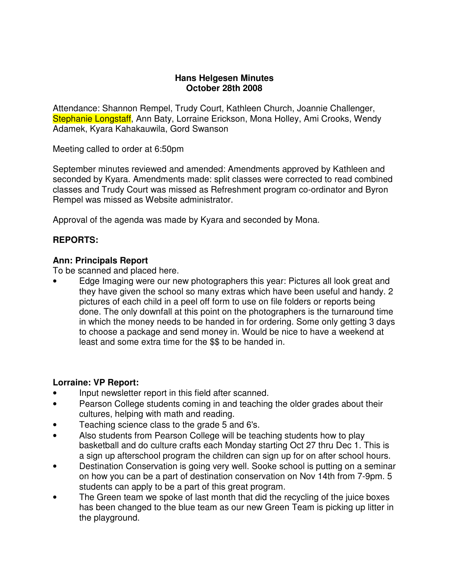#### **Hans Helgesen Minutes October 28th 2008**

Attendance: Shannon Rempel, Trudy Court, Kathleen Church, Joannie Challenger, Stephanie Longstaff, Ann Baty, Lorraine Erickson, Mona Holley, Ami Crooks, Wendy Adamek, Kyara Kahakauwila, Gord Swanson

Meeting called to order at 6:50pm

September minutes reviewed and amended: Amendments approved by Kathleen and seconded by Kyara. Amendments made: split classes were corrected to read combined classes and Trudy Court was missed as Refreshment program co-ordinator and Byron Rempel was missed as Website administrator.

Approval of the agenda was made by Kyara and seconded by Mona.

### **REPORTS:**

### **Ann: Principals Report**

To be scanned and placed here.

• Edge Imaging were our new photographers this year: Pictures all look great and they have given the school so many extras which have been useful and handy. 2 pictures of each child in a peel off form to use on file folders or reports being done. The only downfall at this point on the photographers is the turnaround time in which the money needs to be handed in for ordering. Some only getting 3 days to choose a package and send money in. Would be nice to have a weekend at least and some extra time for the \$\$ to be handed in.

#### **Lorraine: VP Report:**

- Input newsletter report in this field after scanned.
- Pearson College students coming in and teaching the older grades about their cultures, helping with math and reading.
- Teaching science class to the grade 5 and 6's.
- Also students from Pearson College will be teaching students how to play basketball and do culture crafts each Monday starting Oct 27 thru Dec 1. This is a sign up afterschool program the children can sign up for on after school hours.
- Destination Conservation is going very well. Sooke school is putting on a seminar on how you can be a part of destination conservation on Nov 14th from 7-9pm. 5 students can apply to be a part of this great program.
- The Green team we spoke of last month that did the recycling of the juice boxes has been changed to the blue team as our new Green Team is picking up litter in the playground.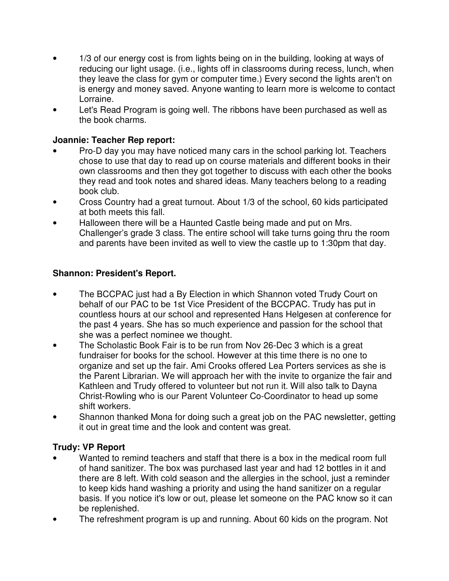- 1/3 of our energy cost is from lights being on in the building, looking at ways of reducing our light usage. (i.e., lights off in classrooms during recess, lunch, when they leave the class for gym or computer time.) Every second the lights aren't on is energy and money saved. Anyone wanting to learn more is welcome to contact Lorraine.
- Let's Read Program is going well. The ribbons have been purchased as well as the book charms.

# **Joannie: Teacher Rep report:**

- Pro-D day you may have noticed many cars in the school parking lot. Teachers chose to use that day to read up on course materials and different books in their own classrooms and then they got together to discuss with each other the books they read and took notes and shared ideas. Many teachers belong to a reading book club.
- Cross Country had a great turnout. About 1/3 of the school, 60 kids participated at both meets this fall.
- Halloween there will be a Haunted Castle being made and put on Mrs. Challenger's grade 3 class. The entire school will take turns going thru the room and parents have been invited as well to view the castle up to 1:30pm that day.

# **Shannon: President's Report.**

- The BCCPAC just had a By Election in which Shannon voted Trudy Court on behalf of our PAC to be 1st Vice President of the BCCPAC. Trudy has put in countless hours at our school and represented Hans Helgesen at conference for the past 4 years. She has so much experience and passion for the school that she was a perfect nominee we thought.
- The Scholastic Book Fair is to be run from Nov 26-Dec 3 which is a great fundraiser for books for the school. However at this time there is no one to organize and set up the fair. Ami Crooks offered Lea Porters services as she is the Parent Librarian. We will approach her with the invite to organize the fair and Kathleen and Trudy offered to volunteer but not run it. Will also talk to Dayna Christ-Rowling who is our Parent Volunteer Co-Coordinator to head up some shift workers.
- Shannon thanked Mona for doing such a great job on the PAC newsletter, getting it out in great time and the look and content was great.

# **Trudy: VP Report**

- Wanted to remind teachers and staff that there is a box in the medical room full of hand sanitizer. The box was purchased last year and had 12 bottles in it and there are 8 left. With cold season and the allergies in the school, just a reminder to keep kids hand washing a priority and using the hand sanitizer on a regular basis. If you notice it's low or out, please let someone on the PAC know so it can be replenished.
- The refreshment program is up and running. About 60 kids on the program. Not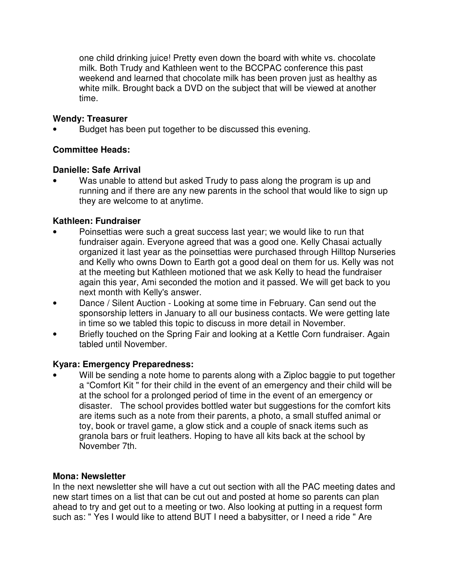one child drinking juice! Pretty even down the board with white vs. chocolate milk. Both Trudy and Kathleen went to the BCCPAC conference this past weekend and learned that chocolate milk has been proven just as healthy as white milk. Brought back a DVD on the subject that will be viewed at another time.

# **Wendy: Treasurer**

Budget has been put together to be discussed this evening.

# **Committee Heads:**

## **Danielle: Safe Arrival**

Was unable to attend but asked Trudy to pass along the program is up and running and if there are any new parents in the school that would like to sign up they are welcome to at anytime.

# **Kathleen: Fundraiser**

- Poinsettias were such a great success last year; we would like to run that fundraiser again. Everyone agreed that was a good one. Kelly Chasai actually organized it last year as the poinsettias were purchased through Hilltop Nurseries and Kelly who owns Down to Earth got a good deal on them for us. Kelly was not at the meeting but Kathleen motioned that we ask Kelly to head the fundraiser again this year, Ami seconded the motion and it passed. We will get back to you next month with Kelly's answer.
- Dance / Silent Auction Looking at some time in February. Can send out the sponsorship letters in January to all our business contacts. We were getting late in time so we tabled this topic to discuss in more detail in November.
- Briefly touched on the Spring Fair and looking at a Kettle Corn fundraiser. Again tabled until November.

# **Kyara: Emergency Preparedness:**

Will be sending a note home to parents along with a Ziploc baggie to put together a "Comfort Kit " for their child in the event of an emergency and their child will be at the school for a prolonged period of time in the event of an emergency or disaster. The school provides bottled water but suggestions for the comfort kits are items such as a note from their parents, a photo, a small stuffed animal or toy, book or travel game, a glow stick and a couple of snack items such as granola bars or fruit leathers. Hoping to have all kits back at the school by November 7th.

# **Mona: Newsletter**

In the next newsletter she will have a cut out section with all the PAC meeting dates and new start times on a list that can be cut out and posted at home so parents can plan ahead to try and get out to a meeting or two. Also looking at putting in a request form such as: " Yes I would like to attend BUT I need a babysitter, or I need a ride " Are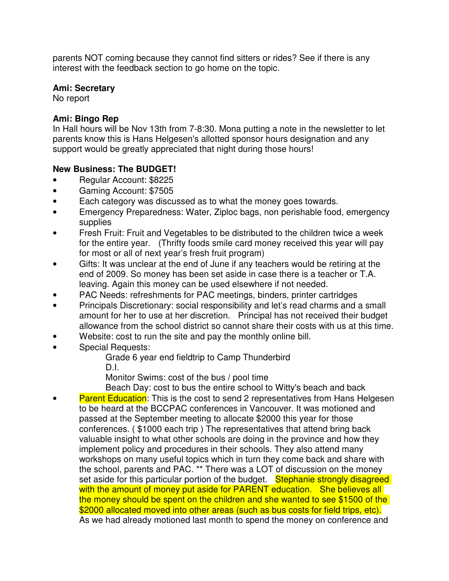parents NOT coming because they cannot find sitters or rides? See if there is any interest with the feedback section to go home on the topic.

## **Ami: Secretary**

No report

## **Ami: Bingo Rep**

In Hall hours will be Nov 13th from 7-8:30. Mona putting a note in the newsletter to let parents know this is Hans Helgesen's allotted sponsor hours designation and any support would be greatly appreciated that night during those hours!

## **New Business: The BUDGET!**

- Regular Account: \$8225
- Gaming Account: \$7505
- Each category was discussed as to what the money goes towards.
- Emergency Preparedness: Water, Ziploc bags, non perishable food, emergency supplies
- Fresh Fruit: Fruit and Vegetables to be distributed to the children twice a week for the entire year. (Thrifty foods smile card money received this year will pay for most or all of next year's fresh fruit program)
- Gifts: It was unclear at the end of June if any teachers would be retiring at the end of 2009. So money has been set aside in case there is a teacher or T.A. leaving. Again this money can be used elsewhere if not needed.
- PAC Needs: refreshments for PAC meetings, binders, printer cartridges
- Principals Discretionary: social responsibility and let's read charms and a small amount for her to use at her discretion. Principal has not received their budget allowance from the school district so cannot share their costs with us at this time.
- Website: cost to run the site and pay the monthly online bill.
- Special Requests:

Grade 6 year end fieldtrip to Camp Thunderbird

D.I.

Monitor Swims: cost of the bus / pool time

Beach Day: cost to bus the entire school to Witty's beach and back

**Parent Education**: This is the cost to send 2 representatives from Hans Helgesen to be heard at the BCCPAC conferences in Vancouver. It was motioned and passed at the September meeting to allocate \$2000 this year for those conferences. ( \$1000 each trip ) The representatives that attend bring back valuable insight to what other schools are doing in the province and how they implement policy and procedures in their schools. They also attend many workshops on many useful topics which in turn they come back and share with the school, parents and PAC. \*\* There was a LOT of discussion on the money set aside for this particular portion of the budget. Stephanie strongly disagreed with the amount of money put aside for PARENT education. She believes all the money should be spent on the children and she wanted to see \$1500 of the \$2000 allocated moved into other areas (such as bus costs for field trips, etc). As we had already motioned last month to spend the money on conference and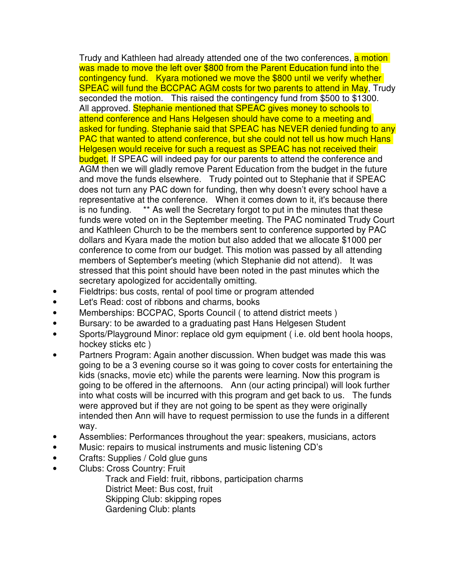Trudy and Kathleen had already attended one of the two conferences, a motion was made to move the left over \$800 from the Parent Education fund into the contingency fund. Kyara motioned we move the \$800 until we verify whether SPEAC will fund the BCCPAC AGM costs for two parents to attend in May, Trudy seconded the motion. This raised the contingency fund from \$500 to \$1300. All approved. Stephanie mentioned that SPEAC gives money to schools to attend conference and Hans Helgesen should have come to a meeting and asked for funding. Stephanie said that SPEAC has NEVER denied funding to any PAC that wanted to attend conference, but she could not tell us how much Hans Helgesen would receive for such a request as SPEAC has not received their budget. If SPEAC will indeed pay for our parents to attend the conference and AGM then we will gladly remove Parent Education from the budget in the future and move the funds elsewhere. Trudy pointed out to Stephanie that if SPEAC does not turn any PAC down for funding, then why doesn't every school have a representative at the conference. When it comes down to it, it's because there is no funding. \*\* As well the Secretary forgot to put in the minutes that these funds were voted on in the September meeting. The PAC nominated Trudy Court and Kathleen Church to be the members sent to conference supported by PAC dollars and Kyara made the motion but also added that we allocate \$1000 per conference to come from our budget. This motion was passed by all attending members of September's meeting (which Stephanie did not attend). It was stressed that this point should have been noted in the past minutes which the secretary apologized for accidentally omitting.

- Fieldtrips: bus costs, rental of pool time or program attended
- Let's Read: cost of ribbons and charms, books
- Memberships: BCCPAC, Sports Council ( to attend district meets )
- Bursary: to be awarded to a graduating past Hans Helgesen Student
- Sports/Playground Minor: replace old gym equipment ( i.e. old bent hoola hoops, hockey sticks etc )
- Partners Program: Again another discussion. When budget was made this was going to be a 3 evening course so it was going to cover costs for entertaining the kids (snacks, movie etc) while the parents were learning. Now this program is going to be offered in the afternoons. Ann (our acting principal) will look further into what costs will be incurred with this program and get back to us. The funds were approved but if they are not going to be spent as they were originally intended then Ann will have to request permission to use the funds in a different way.
- Assemblies: Performances throughout the year: speakers, musicians, actors
- Music: repairs to musical instruments and music listening CD's
- Crafts: Supplies / Cold glue guns
- Clubs: Cross Country: Fruit

 Track and Field: fruit, ribbons, participation charms District Meet: Bus cost, fruit Skipping Club: skipping ropes Gardening Club: plants